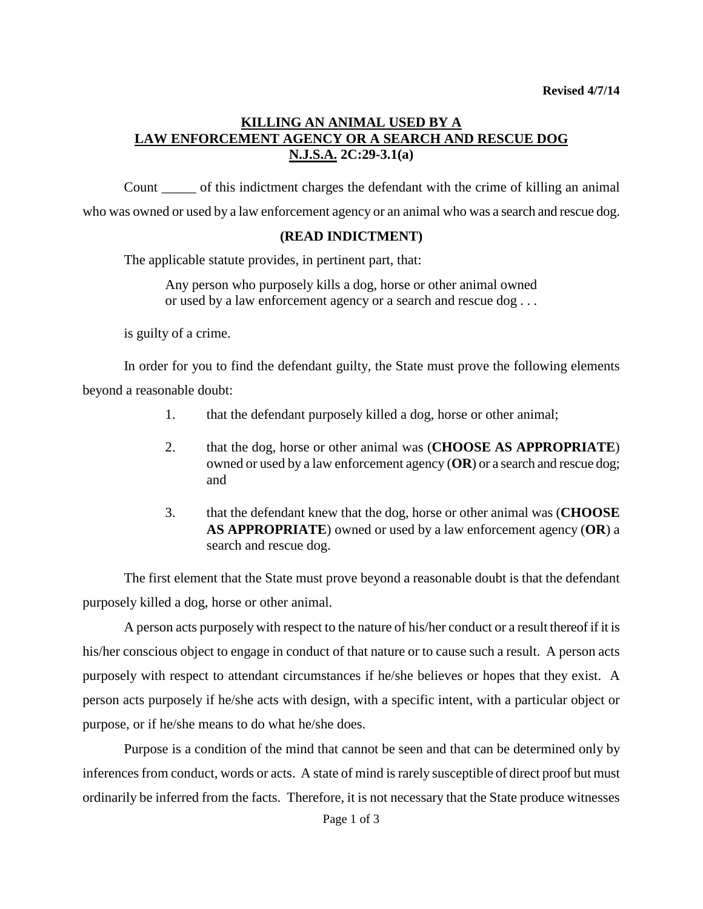## **KILLING AN ANIMAL USED BY A LAW ENFORCEMENT AGENCY OR A SEARCH AND RESCUE DOG N.J.S.A. 2C:29-3.1(a)**

Count \_\_\_\_\_ of this indictment charges the defendant with the crime of killing an animal who was owned or used by a law enforcement agency or an animal who was a search and rescue dog.

## **(READ INDICTMENT)**

The applicable statute provides, in pertinent part, that:

Any person who purposely kills a dog, horse or other animal owned or used by a law enforcement agency or a search and rescue dog . . .

is guilty of a crime.

In order for you to find the defendant guilty, the State must prove the following elements beyond a reasonable doubt:

- 1. that the defendant purposely killed a dog, horse or other animal;
- 2. that the dog, horse or other animal was (**CHOOSE AS APPROPRIATE**) owned or used by a law enforcement agency (**OR**) or a search and rescue dog; and
- 3. that the defendant knew that the dog, horse or other animal was (**CHOOSE AS APPROPRIATE**) owned or used by a law enforcement agency (**OR**) a search and rescue dog.

The first element that the State must prove beyond a reasonable doubt is that the defendant purposely killed a dog, horse or other animal.

A person acts purposely with respect to the nature of his/her conduct or a result thereof if it is his/her conscious object to engage in conduct of that nature or to cause such a result. A person acts purposely with respect to attendant circumstances if he/she believes or hopes that they exist. A person acts purposely if he/she acts with design, with a specific intent, with a particular object or purpose, or if he/she means to do what he/she does.

Purpose is a condition of the mind that cannot be seen and that can be determined only by inferences from conduct, words or acts. A state of mind is rarely susceptible of direct proof but must ordinarily be inferred from the facts. Therefore, it is not necessary that the State produce witnesses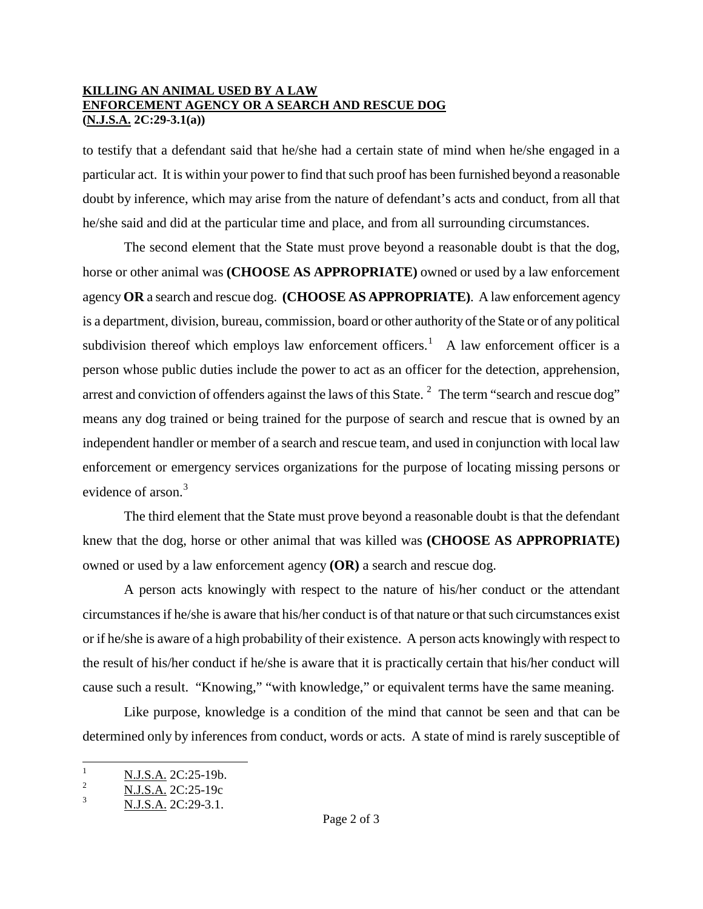## **KILLING AN ANIMAL USED BY A LAW ENFORCEMENT AGENCY OR A SEARCH AND RESCUE DOG (N.J.S.A. 2C:29-3.1(a))**

to testify that a defendant said that he/she had a certain state of mind when he/she engaged in a particular act. It is within your power to find that such proof has been furnished beyond a reasonable doubt by inference, which may arise from the nature of defendant's acts and conduct, from all that he/she said and did at the particular time and place, and from all surrounding circumstances.

The second element that the State must prove beyond a reasonable doubt is that the dog, horse or other animal was **(CHOOSE AS APPROPRIATE)** owned or used by a law enforcement agency **OR** a search and rescue dog. **(CHOOSE AS APPROPRIATE)**. A law enforcement agency is a department, division, bureau, commission, board or other authority of the State or of any political subdivision thereof which employs law enforcement officers.<sup>[1](#page-2-0)</sup> A law enforcement officer is a person whose public duties include the power to act as an officer for the detection, apprehension, arrest and conviction of offenders against the laws of this State.  $2$  The term "search and rescue dog" means any dog trained or being trained for the purpose of search and rescue that is owned by an independent handler or member of a search and rescue team, and used in conjunction with local law enforcement or emergency services organizations for the purpose of locating missing persons or evidence of arson.<sup>[3](#page-1-1)</sup>

The third element that the State must prove beyond a reasonable doubt is that the defendant knew that the dog, horse or other animal that was killed was **(CHOOSE AS APPROPRIATE)** owned or used by a law enforcement agency **(OR)** a search and rescue dog.

A person acts knowingly with respect to the nature of his/her conduct or the attendant circumstances if he/she is aware that his/her conduct is of that nature or that such circumstances exist or if he/she is aware of a high probability of their existence. A person acts knowingly with respect to the result of his/her conduct if he/she is aware that it is practically certain that his/her conduct will cause such a result. "Knowing," "with knowledge," or equivalent terms have the same meaning.

Like purpose, knowledge is a condition of the mind that cannot be seen and that can be determined only by inferences from conduct, words or acts. A state of mind is rarely susceptible of

 $\frac{1}{2}$  N.J.S.A. 2C:25-19b.

<span id="page-1-0"></span> $\frac{2}{3}$  N.J.S.A. 2C:25-19c

<span id="page-1-1"></span>N.J.S.A. 2C:29-3.1.